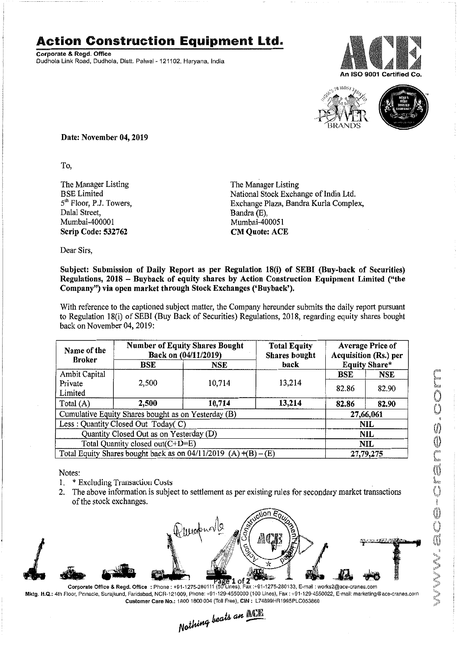## **Action Construction Equipment Ltd.**

Corporate & Regd. Office Dudhola Link Road, Dudhola, Distt. Palwal- 121102, Haryana, India





Date: November 04, 2019

To,

The Manager Listing BSELimited 5<sup>th</sup> Floor, P.J. Towers, Dalal Street, Mumbai-400001 Scrip Code: 532762

The Manager Listing National Stock Exchange of India Ltd. Exchange Plaza, Bandra Kurla Complex, Bandra (E), Mumbai-400051 CM Quote: ACE

Dear Sirs,

## Subject: Submission of Daily Report as per Regulation 18(i) of SEBI (Buy-back of Securities) Regulations, 2018 - Buyback of equity shares by Action Construction Equipment Limited ("the Company") via open market through Stock Exchanges ('Buyback').

With reference to the captioned subject matter, the Company hereunder submits the daily report pursuant to Regulation 18(i) of SEBI (Buy Back of Securities) Regulations, 2018, regarding equity shares bought back on November 04,2019:

| Name of the<br><b>Broker</b>                                      | <b>Number of Equity Shares Bought</b><br>Back on (04/11/2019) |            | <b>Total Equity</b><br><b>Shares bought</b> | <b>Average Price of</b><br>Acquisition (Rs.) per |            |  |
|-------------------------------------------------------------------|---------------------------------------------------------------|------------|---------------------------------------------|--------------------------------------------------|------------|--|
|                                                                   | BSE                                                           | <b>NSE</b> | back                                        | <b>Equity Share*</b>                             |            |  |
| Ambit Capital                                                     |                                                               |            |                                             | <b>BSE</b>                                       | <b>NSE</b> |  |
| Private<br>Limited                                                | 2,500                                                         | 10,714     | 13,214                                      | 82.86                                            | 82.90      |  |
| Total (A)                                                         | 2,500                                                         | 10,714     | 13,214                                      | 82.86                                            | 82.90      |  |
| Cumulative Equity Shares bought as on Yesterday (B)               |                                                               |            |                                             |                                                  | 27,66,061  |  |
| Less: Quantity Closed Out Today(C)                                |                                                               |            |                                             | <b>NIL</b>                                       |            |  |
| Quantity Closed Out as on Yesterday (D)                           |                                                               |            |                                             | <b>NIL</b>                                       |            |  |
| Total Quantity closed out(C+D=E)                                  |                                                               |            |                                             |                                                  | <b>NIL</b> |  |
| Total Equity Shares bought back as on $04/11/2019$ (A) $+(B)-(E)$ |                                                               |            |                                             | 27,79,275                                        |            |  |

Notes:

- 1. \* Excluding Transaction Costs
- 2. The above information is subject to settlement as per existing rules for secondary market transactions of the stock exchanges.



Mktg. H.Q.: 4th Floor, Pinnacle, Surajkund, Faridabad, NCR·121009, Phone: +91-129-4550000 (100 Lines).Fax: +91-129·4550022, E-mail:marketing@ace·cranes.com Customer Care No.: 18001800004 (TollFree), CIN: L74899HR1995PLC053860